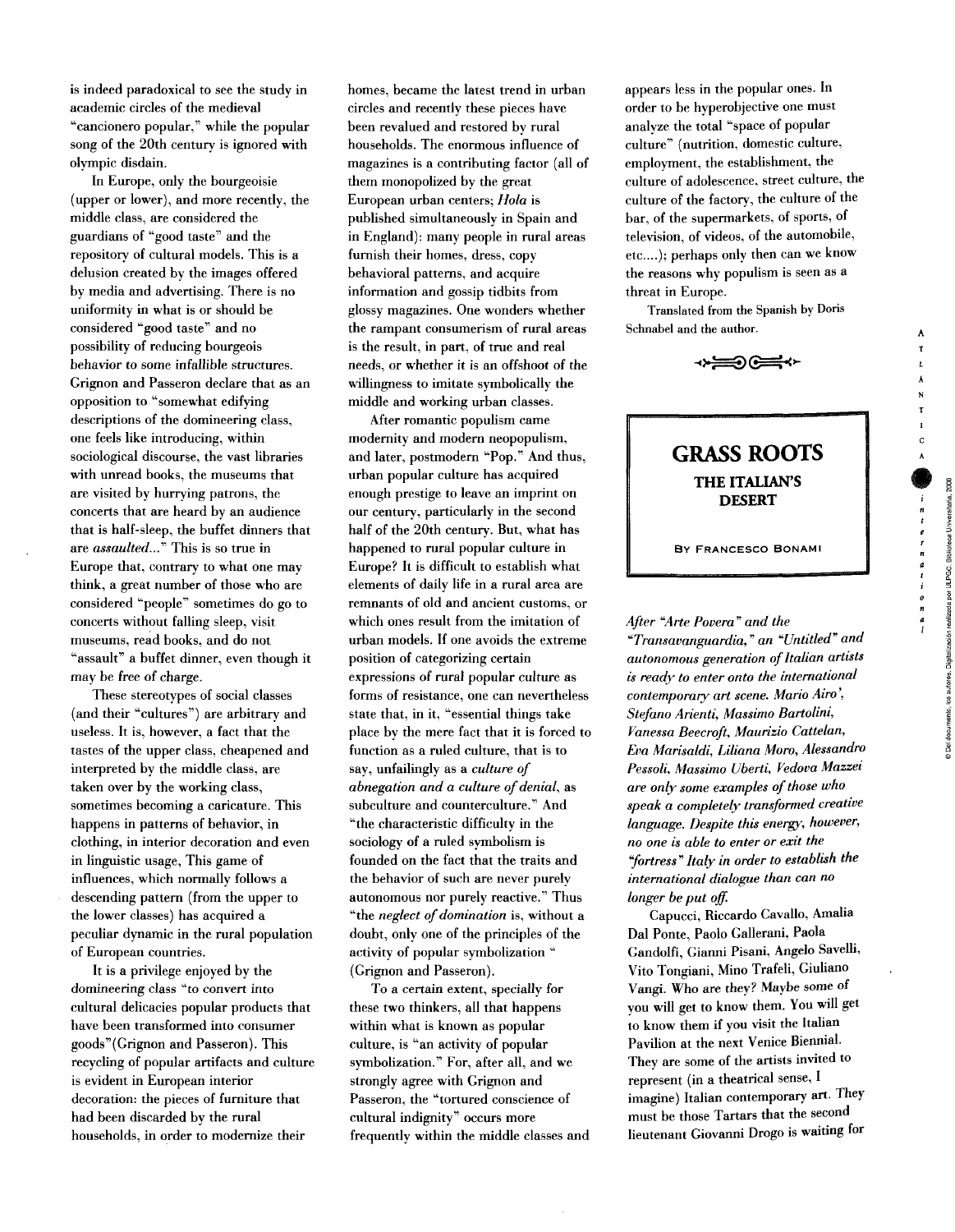is indeed paradoxical to see the study in academic circles of the medieval "cancionero popular," while the popular song of the 20th century is ignored with olympic disdain.

In Europe, only the bourgeoisie (upper or lowar), and more recently, the middle class, are considerad the guardians of "good taste" and the repository of cultural models. This is a delusion created by the images offered by media and advertising. There is no uniformity in what is or should be considered "good taste" and no possibility of reducing bourgeois behavior to some infallible structures. Grignon and Passeron declare that as an opposition to "somewhat edifying descriptions of the domineering class, one feels like introducing, within sociological discourse, the vast libraries with unread books, the museums that are visited by hurrying patrons, the concerts that are heard by an audience that is half-sleep, the buffet dinners that are *assaulted...'"* This is so true in Europe that, contrary to what one may think, a great number of those who are considered "people" sometimes do go to concerts without faliing sleep, visit museums, read books, and do not "assault" a buffet dinner, even though it may be free of charge.

These stereotypes of social classes (and their "cultures") are arbitrary and useless. It is, however, a fact that the tastes of the upper class, cheapened and interpreted by the middle class, are taken over by the working class, sometimes becoming a caricature. This happens in pattems of behavior, in clothing, in interior decoration and even in linguistic usage, This gama of influences, which normally follows a descending pattern (from the upper to the lower classes) has acquired a peculiar dynamic in the rural population of European countries.

It is a privilege enjoyed by the domineering class "to convert into cultural delicacies popular products that have been transformed into consumer goods''(Grignon and Passeron). This recycling of popular artifacts and cultura is evident in European interior decoration: the pieces of furniture that had been discarded by the rural households, in order to modemize their

homes, became the latest trend in urban circles and recently these pieces have been revalued and restored by rural households. The enormous influence of magazines is a contributing factor (all of them monopolized by the great European urban centers; *Hola* is publishad simultaneously in Spain and in England): many people in rural areas fumish their bomas, dress, copy behavioral patterns, and acquire information and gossip tidbits from glossy magazines. One wondars whether the rampant consumerism of rural areas is the result, in part, of true and real needs, or whether it is an offshoot of the willingness to imítate symbolically the middle and working urban classes.

After romantic populism came modernity and modern neopopulism, and later, postmodem "Pop." And thus, urban popular culture has acquired enough prestige to leava an imprint on our century, particularly in the second half of the 20th century. But, what has happened to rural popular culture in Europe? It is difficult to establish what elements of daily life in a rural area are remnants of old and ancient customs, or which ones result from the imitation of urban models. If one avoids the extreme position of categorizing certain expressions of rural popular culture as forms of resistance, one can nevertheless state that, in it, "essential things take place by the mere fact that it is forced to function as a ruled culture, that is to say, unfailingly as a *culture of abnegation and a culture of denial,* as subculture and counterculture." And "the characterístic difficulty in the sociology of a ruled symbolism is founded on the fact that the traits and the behavior of such are never purely autonomous ñor purely reactive." Thus "the *neglect of domination* is, without a doubt, only ona of the principies of the activity of popular symbolization " (Grignon and Passeron).

To a certain axtent, specially for these two thinkers, all that happens within what is known as popular culture, is "an activity of popular symbolization." For, after all, and we strongly agree with Grignon and Passeron, the "tortured conscience of cultural indignity" occurs more frequantly within the middle classes and appaars less in the popular ones. In ordar to be hyperobjective one must analyze the total "space of popular cultura" (nutrition, domestic culture, amployment, the establishment, the culture of adolescence, street culture, the culture of the factory, the culture of the bar, of the supermarkets, of sports, of televisión, of videos, of the automobile, etc....); perhaps only then can we know the reasons why popuhsm is seen as a threat in Europe.

Translated from the Spanish by Doris Schnabel and the author.



# **GRASS ROOTS THE ITALIAN'S DESERT**

BY FRANCESCO BONAMI

*After ''Arte Pavera" and the "Transavanguardia,*" *an "Untitled" and autonomous generation ofltalian artists is ready to enter onto the international contemporary art scene. Mario Airo', Stefano Arienti, Massimo Bartoliní, Vanessa Beecroft, Maurizio Cattelan, Eva Marisaldi, Liliana Moro, Alessandro Pessoli, Massimo Uberti, Vedova Mazzei are only some examples of those who speak a completely transformed creative language. Despite this energy, however, no one is able to enter or exit the "fortress" Italy in order to establish the international dialogue than can no longer be put off.* 

Capucci, Riccardo Cavallo, Amalia Dal Ponte, Paolo Gallerani, Paola Gandolfi, Gianni Pisani, Angelo Savelli, Vito Tongiani, Mino Trafeli, Giuliano Vangi. Who are they? Maybe some of you will get to know them. You will get to know them if you visit the Italian Pavilion at the next Venice Biennial. They are some of the artists invited to represent (in a theatrical sense, I imagine) Italian contemporary art. They must be those Tartars that the second lieutenant Giovanni Drogo is waiting for  $\begin{array}{cccccccccc} n & t & e & r & n & a & t & i \\ r & r & n & a & t & i & i \\ \end{array}$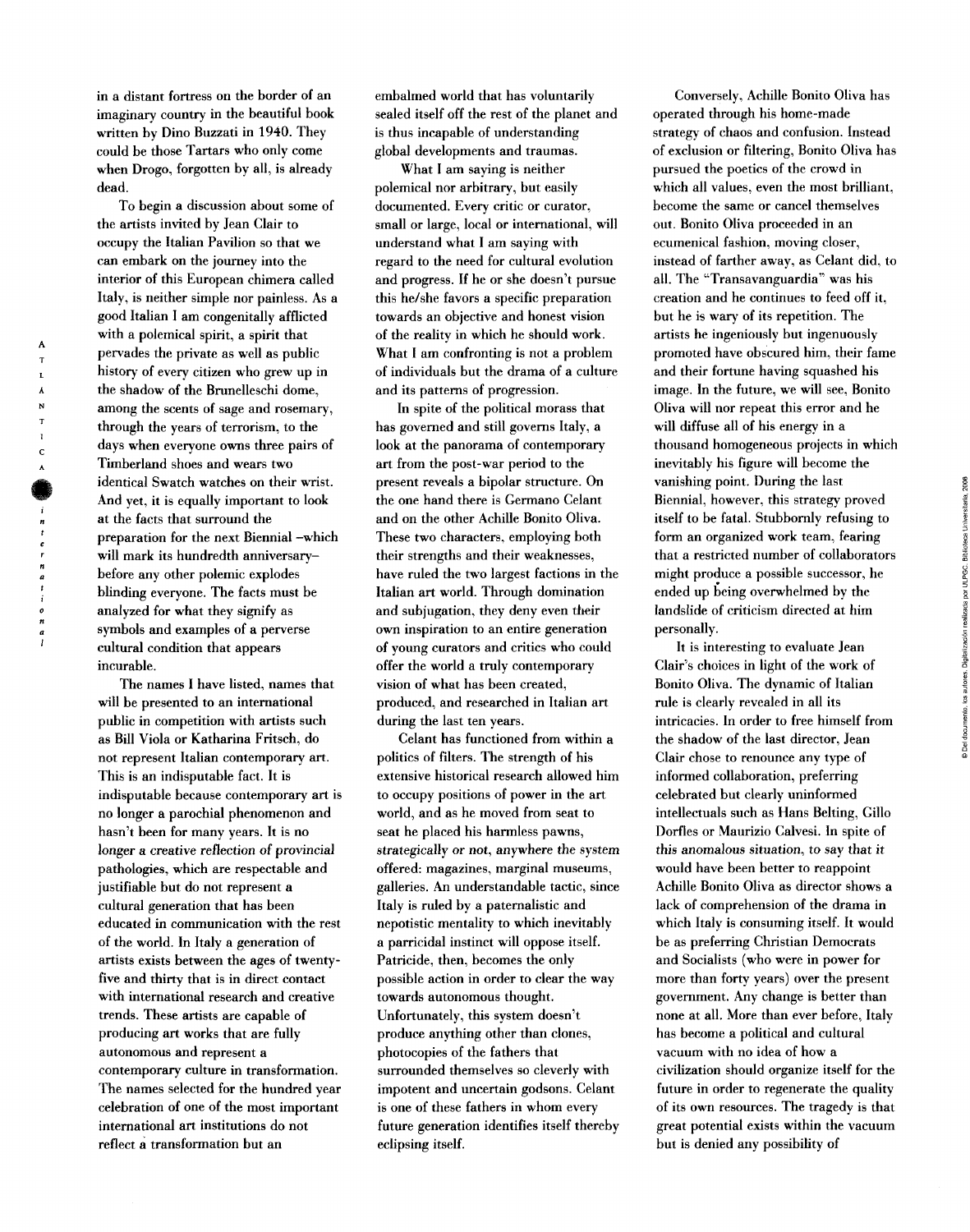in a distant fortress on the border of an imaginary country in the beautiful book written by Dino Buzzati in 1940. They could be those Tartars who only come when Drogo, forgotten by all, is already dead.

To begin a discussion about some of the artists invited by Jean Clair to occupy the Italian Pavilion so that we can embark on the journey into the interior of this European chimera callad Italy, is neither simple nor painless. As a good Italian I am congenitally afflicted with a polemical spirit, a spirit that pervades the prívate as well as public history of every citizen who grew up in the shadow of the Brunelleschi dome, among the scents of sage and rosemary, through the years of terrorísm, to the days when everyone owns three pairs of Timberland shoes and wears two identical Swatch watches on their wrist. And yet, it is equally important to look at the facts that surround the preparation for the next Biennial -which will mark its hundredth anniversarybefore any other polemic explodes blinding everyone. The facts must be analyzed for what they signify as symbols and examples of a perverse cultural condition that appears incurable.

The names I have listed, names that will be presented to an intemational public in competition with artists such as Bill Viola or Katharina Frítsch, do not represent Italian contemporary art. This is an indisputable fact. It is indisputable because contemporary art is no longer a parochial phenomenon and hasn't been for many years. It is no longer a creative reflection of provincial pathologies, which are respectable and justifiable but do not represent a cultural generation that has been educated in communication with the rest of the world. In Italy a generation of artists exists between the ages of twentyfive and thirty that is in direct contact with intemational research and creative trends. These artists are capable of producing art works that are fully autonomous and represent a contemporary culture in transformation. The names selected for the hundred year celebration of one of the most important intemational art institutions do not reflect a transformation but an

embalmed world that has voluntaríly sealed itself off the rest of the planet and is thus incapable of understanding global developments and traumas.

What 1 am saying is neither polemical ñor arbitrary, but easily documented. Every crític or curator, small or large, local or intemational, will understand what 1 am saying with regard to the need for cultural evolution and progress. If he or she doesn't pursue this he/she favors a specific preparation towards an objective and honest visión of the reality in which he should work. What I am confronting is not a problem of individuáis but the drama of a culture and its pattems of progression.

In spite of the political morass that has govemed and still govems Italy, a look at the panorama of contemporary art from the post-war period to the present reveáis a bipolar structure. On the one hand there is Germano Celant and on the other Achille Bonito Oliva. These two characters, employing both their strengths and their weaknesses, have ruled the two largest factions in the Italian art world. Through domination and subjugation, they deny even their own inspiration to an entire generation of young curators and crítics who could offer the world a truly contemporary vision of what has been created, produced, and researched in Italian art during the last ten years.

Celant has functioned from within a politics of filters. The strength of his extensive historical research allowed him to occupy positions of power in the art world, and as he moved from seat to seat he placed his harmless pawns, strategically or not, anywhere the system offered: magazines, marginal museums, galleries. An understandable tactic, since Italy is ruled by a patemalistic and nepotistic mentality to which inevitably a parrícidal instinct will oppose itself. Patricide, then, becomes the only possible action in order to clear the way towards autonomous thought. Unfortunately, this system doesn't produce anything other than clones, photocopies of the fathers that surrounded themselves so cleverly with impotent and uncertain godsons. Celant is one of these fathers in whom every future generation identifies itself thereby eclipsing itself.

Conversely, Achille Bonito Oliva has operated through his home-made strategy of chaos and confusión. Instead of exclusión or filtering. Bonito Oliva has pursued the poetics of the crowd in which all values, even the most brilliant, become the same or cancel themselves out. Bonito Oliva proceeded in an ecumenical fashion, moving closer, instead of farther away, as Celant did, to all. The "Transavanguardia" was his creation and he continues to feed off it, but he is wary of its repetition. The artists he ingeniously but ingenuously promoted have obscured him, their fame and their fortune having squashed his image. In the future, we will see. Bonito Oliva will ñor repeat this error and he will diffuse all of his energy in a thousand homogeneous projects in which inevitably his figure will become the vanishing point. Duríng the last Biennial, however, this strategy proved itself to be fatal. Stubbomly refusing to form an organized work team, fearing that a restricted number of collaborators might produce a possible successor, he ended up being overwhelmed by the landslide of criticism directed at him personally.

It is interesting to evaluate Jean Clair's cholees in light of the work of Bonito Oliva. The dynamic of Italian rule is clearly revealed in all its intricacies. In order to free himself from the shadow of the last director, Jean Clair chose to renounce any type of informed collaboration, preferring celebrated but clearly uninformed intellectuals such as Hans Belting, Cilio Dorfles or Maurizio Calvesi. In spite of this anomalous situation, to say that it would have been better to reappoint Achille Bonito Oliva as director shows a lack of comprehension of the drama in which Italy is consuming itself. It would be as preferring Chrístian Democrats and Socialists (who were in power for more than forty years) over the present govemment. Any change is better than none at all. More than ever before, Italy has become a political and cultural vacuum with no idea of how a civilization should organize itself for the future in order to regenerate the quality of its own resources. The tragedy is that great potential exists within the vacuum but is denied any possibility of